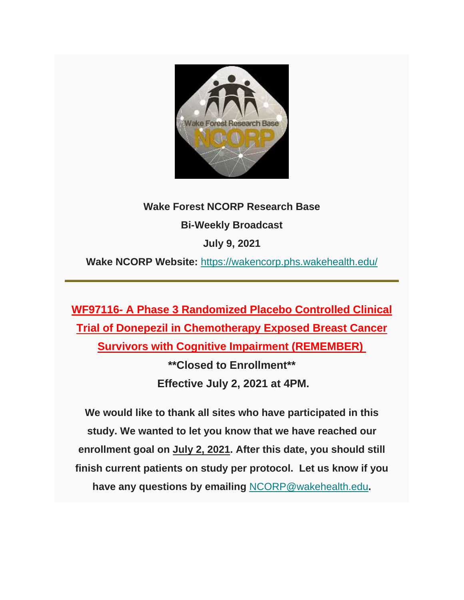

#### **Wake Forest NCORP Research Base**

**Bi-Weekly Broadcast**

**July 9, 2021**

**Wake NCORP Website:** <https://wakencorp.phs.wakehealth.edu/>

**WF97116- A Phase 3 Randomized Placebo Controlled Clinical Trial of Donepezil in Chemotherapy Exposed Breast Cancer Survivors with Cognitive Impairment (REMEMBER) \*\*Closed to Enrollment\*\* Effective July 2, 2021 at 4PM.**

**We would like to thank all sites who have participated in this study. We wanted to let you know that we have reached our enrollment goal on July 2, 2021. After this date, you should still finish current patients on study per protocol. Let us know if you have any questions by emailing** [NCORP@wakehealth.edu](mailto:NCORP@wakehealth.edu)**.**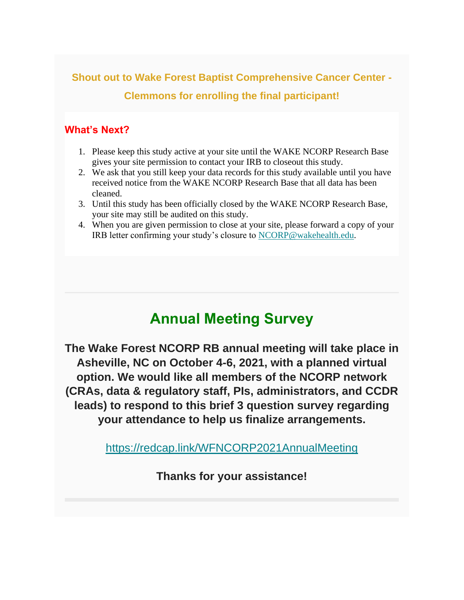## **Shout out to Wake Forest Baptist Comprehensive Cancer Center - Clemmons for enrolling the final participant!**

#### **What's Next?**

- 1. Please keep this study active at your site until the WAKE NCORP Research Base gives your site permission to contact your IRB to closeout this study.
- 2. We ask that you still keep your data records for this study available until you have received notice from the WAKE NCORP Research Base that all data has been cleaned.
- 3. Until this study has been officially closed by the WAKE NCORP Research Base, your site may still be audited on this study.
- 4. When you are given permission to close at your site, please forward a copy of your IRB letter confirming your study's closure to [NCORP@wakehealth.edu.](mailto:NCORP@wakehealth.edu)

# **Annual Meeting Survey**

**The Wake Forest NCORP RB annual meeting will take place in Asheville, NC on October 4-6, 2021, with a planned virtual option. We would like all members of the NCORP network (CRAs, data & regulatory staff, PIs, administrators, and CCDR leads) to respond to this brief 3 question survey regarding your attendance to help us finalize arrangements.**

<https://redcap.link/WFNCORP2021AnnualMeeting>

**Thanks for your assistance!**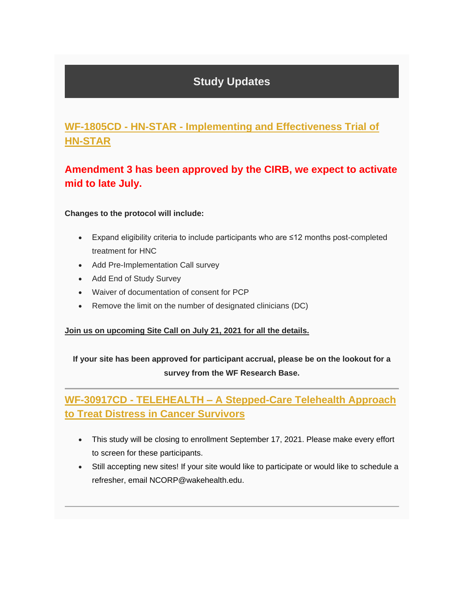### **Study Updates**

### **WF-1805CD - HN-STAR - Implementing and Effectiveness Trial of HN-STAR**

#### **Amendment 3 has been approved by the CIRB, we expect to activate mid to late July.**

#### **Changes to the protocol will include:**

- Expand eligibility criteria to include participants who are ≤12 months post-completed treatment for HNC
- Add Pre-Implementation Call survey
- Add End of Study Survey
- Waiver of documentation of consent for PCP
- Remove the limit on the number of designated clinicians (DC)

#### **Join us on upcoming Site Call on July 21, 2021 for all the details.**

**If your site has been approved for participant accrual, please be on the lookout for a survey from the WF Research Base.**

#### **WF-30917CD - TELEHEALTH – A Stepped-Care Telehealth Approach to Treat Distress in Cancer Survivors**

- This study will be closing to enrollment September 17, 2021. Please make every effort to screen for these participants.
- Still accepting new sites! If your site would like to participate or would like to schedule a refresher, email NCORP@wakehealth.edu.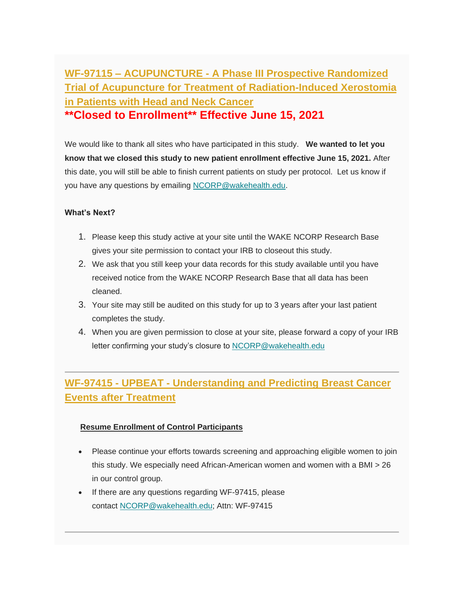**WF-97115 – ACUPUNCTURE - A Phase III Prospective Randomized Trial of Acupuncture for Treatment of Radiation-Induced Xerostomia in Patients with Head and Neck Cancer \*\*Closed to Enrollment\*\* Effective June 15, 2021**

We would like to thank all sites who have participated in this study. **We wanted to let you know that we closed this study to new patient enrollment effective June 15, 2021.** After this date, you will still be able to finish current patients on study per protocol. Let us know if you have any questions by emailing [NCORP@wakehealth.edu.](mailto:NCORP@wakehealth.edu)

#### **What's Next?**

- 1. Please keep this study active at your site until the WAKE NCORP Research Base gives your site permission to contact your IRB to closeout this study.
- 2. We ask that you still keep your data records for this study available until you have received notice from the WAKE NCORP Research Base that all data has been cleaned.
- 3. Your site may still be audited on this study for up to 3 years after your last patient completes the study.
- 4. When you are given permission to close at your site, please forward a copy of your IRB letter confirming your study's closure to [NCORP@wakehealth.edu](mailto:NCORP@wakehealth.edu)

#### **WF-97415 - UPBEAT - Understanding and Predicting Breast Cancer Events after Treatment**

#### **Resume Enrollment of Control Participants**

- Please continue your efforts towards screening and approaching eligible women to join this study. We especially need African-American women and women with a BMI > 26 in our control group.
- If there are any questions regarding WF-97415, please contact [NCORP@wakehealth.edu;](mailto:NCORP@wakehealth.edu) Attn: WF-97415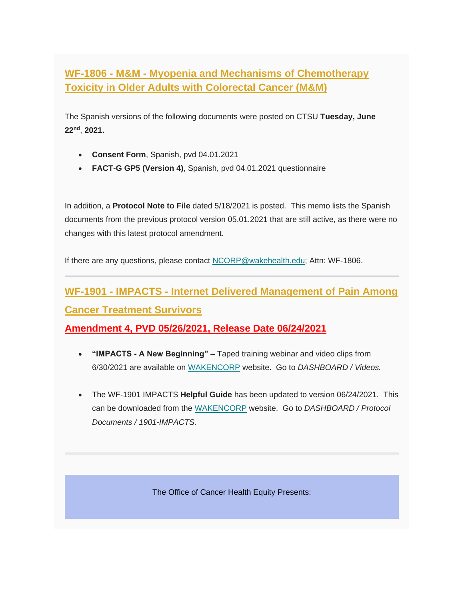### **WF-1806 - M&M - Myopenia and Mechanisms of Chemotherapy Toxicity in Older Adults with Colorectal Cancer (M&M)**

The Spanish versions of the following documents were posted on CTSU **Tuesday, June 22nd** , **2021.**

- **Consent Form**, Spanish, pvd 04.01.2021
- **FACT-G GP5 (Version 4)**, Spanish, pvd 04.01.2021 questionnaire

In addition, a **Protocol Note to File** dated 5/18/2021 is posted. This memo lists the Spanish documents from the previous protocol version 05.01.2021 that are still active, as there were no changes with this latest protocol amendment.

If there are any questions, please contact [NCORP@wakehealth.edu;](mailto:NCORP@wakehealth.edu) Attn: WF-1806.

**WF-1901 - IMPACTS - Internet Delivered Management of Pain Among Cancer Treatment Survivors Amendment 4, PVD 05/26/2021, Release Date 06/24/2021**

- **"IMPACTS - A New Beginning" –** Taped training webinar and video clips from 6/30/2021 are available on [WAKENCORP](https://wakencorp.phs.wakehealth.edu/) website. Go to *DASHBOARD / Videos.*
- The WF-1901 IMPACTS **Helpful Guide** has been updated to version 06/24/2021. This can be downloaded from the [WAKENCORP](https://wakencorp.phs.wakehealth.edu/) website. Go to *DASHBOARD / Protocol Documents / 1901-IMPACTS.*

The Office of Cancer Health Equity Presents: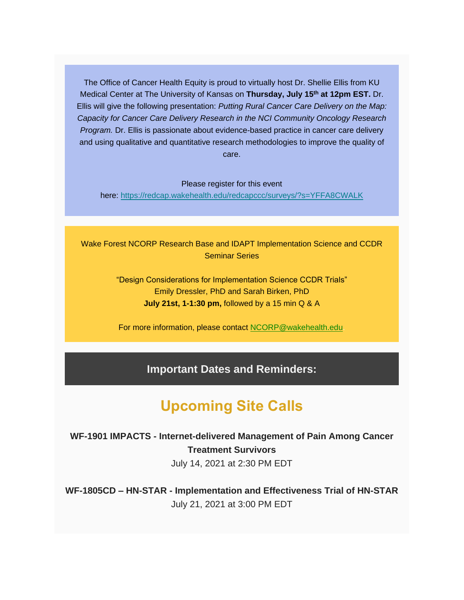The Office of Cancer Health Equity is proud to virtually host Dr. Shellie Ellis from KU Medical Center at The University of Kansas on **Thursday, July 15th at 12pm EST.** Dr. Ellis will give the following presentation: *Putting Rural Cancer Care Delivery on the Map: Capacity for Cancer Care Delivery Research in the NCI Community Oncology Research Program.* Dr. Ellis is passionate about evidence-based practice in cancer care delivery and using qualitative and quantitative research methodologies to improve the quality of care.

Please register for this event

here: <https://redcap.wakehealth.edu/redcapccc/surveys/?s=YFFA8CWALK>

Wake Forest NCORP Research Base and IDAPT Implementation Science and CCDR Seminar Series

> "Design Considerations for Implementation Science CCDR Trials" Emily Dressler, PhD and Sarah Birken, PhD **July 21st, 1-1:30 pm,** followed by a 15 min Q & A

For more information, please contact [NCORP@wakehealth.edu.](mailto:ncorp@wakehealth.edu)

#### **Important Dates and Reminders:**

## **Upcoming Site Calls**

**WF-1901 IMPACTS - Internet-delivered Management of Pain Among Cancer Treatment Survivors** July 14, 2021 at 2:30 PM EDT

**WF-1805CD – HN-STAR - Implementation and Effectiveness Trial of HN-STAR** July 21, 2021 at 3:00 PM EDT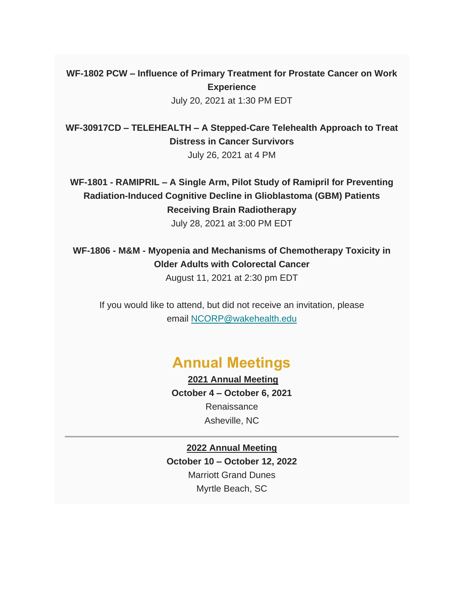### **WF-1802 PCW – Influence of Primary Treatment for Prostate Cancer on Work Experience**

July 20, 2021 at 1:30 PM EDT

**WF-30917CD – TELEHEALTH – A Stepped-Care Telehealth Approach to Treat Distress in Cancer Survivors**

July 26, 2021 at 4 PM

**WF-1801 - RAMIPRIL – A Single Arm, Pilot Study of Ramipril for Preventing Radiation-Induced Cognitive Decline in Glioblastoma (GBM) Patients Receiving Brain Radiotherapy** July 28, 2021 at 3:00 PM EDT

**WF-1806 - M&M - Myopenia and Mechanisms of Chemotherapy Toxicity in Older Adults with Colorectal Cancer**

August 11, 2021 at 2:30 pm EDT

If you would like to attend, but did not receive an invitation, please email [NCORP@wakehealth.edu](mailto:NCORP@wakehealth.edu)

## **Annual Meetings**

**2021 Annual Meeting October 4 – October 6, 2021** Renaissance Asheville, NC

**2022 Annual Meeting October 10 – October 12, 2022** Marriott Grand Dunes Myrtle Beach, SC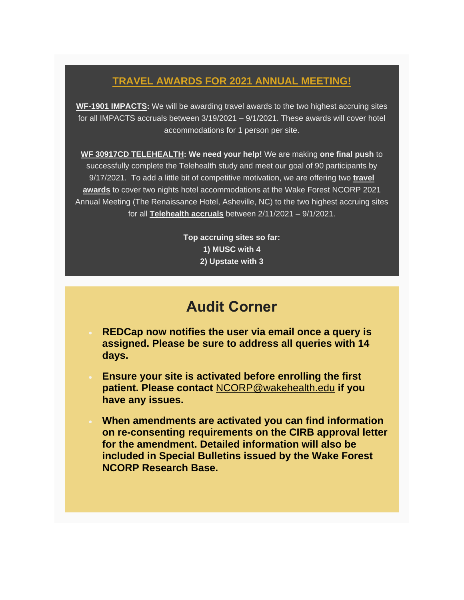#### **TRAVEL AWARDS FOR 2021 ANNUAL MEETING!**

**WF-1901 IMPACTS:** We will be awarding travel awards to the two highest accruing sites for all IMPACTS accruals between 3/19/2021 – 9/1/2021. These awards will cover hotel accommodations for 1 person per site.

**WF 30917CD TELEHEALTH: We need your help!** We are making **one final push** to successfully complete the Telehealth study and meet our goal of 90 participants by 9/17/2021. To add a little bit of competitive motivation, we are offering two **travel awards** to cover two nights hotel accommodations at the Wake Forest NCORP 2021 Annual Meeting (The Renaissance Hotel, Asheville, NC) to the two highest accruing sites for all **Telehealth accruals** between 2/11/2021 – 9/1/2021.

> **Top accruing sites so far: 1) MUSC with 4 2) Upstate with 3**

## **Audit Corner**

- **REDCap now notifies the user via email once a query is assigned. Please be sure to address all queries with 14 days.**
- **Ensure your site is activated before enrolling the first patient. Please contact** [NCORP@wakehealth.edu](mailto:NCORP@wakehealth.edu) **if you have any issues.**
- **When amendments are activated you can find information on re-consenting requirements on the CIRB approval letter for the amendment. Detailed information will also be included in Special Bulletins issued by the Wake Forest NCORP Research Base.**